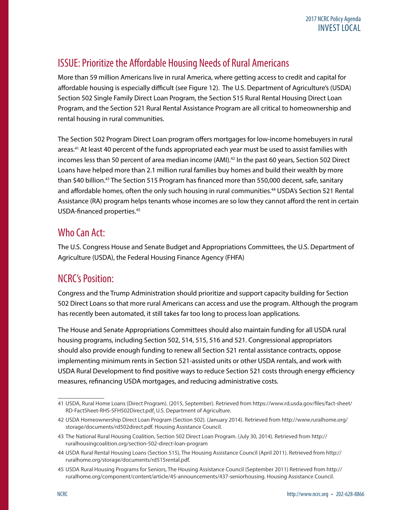## ISSUE: Prioritize the Affordable Housing Needs of Rural Americans

More than 59 million Americans live in rural America, where getting access to credit and capital for affordable housing is especially difficult (see Figure 12). The U.S. Department of Agriculture's (USDA) Section 502 Single Family Direct Loan Program, the Section 515 Rural Rental Housing Direct Loan Program, and the Section 521 Rural Rental Assistance Program are all critical to homeownership and rental housing in rural communities.

The Section 502 Program Direct Loan program offers mortgages for low-income homebuyers in rural areas.41 At least 40 percent of the funds appropriated each year must be used to assist families with incomes less than 50 percent of area median income (AMI).<sup>42</sup> In the past 60 years, Section 502 Direct Loans have helped more than 2.1 million rural families buy homes and build their wealth by more than \$40 billion.<sup>43</sup> The Section 515 Program has financed more than 550,000 decent, safe, sanitary and affordable homes, often the only such housing in rural communities.<sup>44</sup> USDA's Section 521 Rental Assistance (RA) program helps tenants whose incomes are so low they cannot afford the rent in certain USDA-financed properties.45

## Who Can Act:

The U.S. Congress House and Senate Budget and Appropriations Committees, the U.S. Department of Agriculture (USDA), the Federal Housing Finance Agency (FHFA)

## NCRC's Position:

Congress and the Trump Administration should prioritize and support capacity building for Section 502 Direct Loans so that more rural Americans can access and use the program. Although the program has recently been automated, it still takes far too long to process loan applications.

The House and Senate Appropriations Committees should also maintain funding for all USDA rural housing programs, including Section 502, 514, 515, 516 and 521. Congressional appropriators should also provide enough funding to renew all Section 521 rental assistance contracts, oppose implementing minimum rents in Section 521-assisted units or other USDA rentals, and work with USDA Rural Development to find positive ways to reduce Section 521 costs through energy efficiency measures, refinancing USDA mortgages, and reducing administrative costs.

<sup>41</sup> USDA, Rural Home Loans (Direct Program). (2015, September). Retrieved from [https://www.rd.usda.gov/files/fact-sheet/](https://www.rd.usda.gov/files/fact-sheet/RD-FactSheet-RHS-SFH502Direct.pdf) [RD-FactSheet-RHS-SFH502Direct.pdf.](https://www.rd.usda.gov/files/fact-sheet/RD-FactSheet-RHS-SFH502Direct.pdf) U.S. Department of Agriculture.

<sup>42</sup> USDA Homeownership Direct Loan Program (Section 502). (January 2014). Retrieved from [http://www.ruralhome.org/](http://www.ruralhome.org/storage/documents/rd502direct.pdf) [storage/documents/rd502direct.pdf.](http://www.ruralhome.org/storage/documents/rd502direct.pdf) Housing Assistance Council.

<sup>43</sup> The National Rural Housing Coalition, Section 502 Direct Loan Program. (July 30, 2014). Retrieved from http:// ruralhousingcoalition.org/section-502-direct-loan-program

<sup>44</sup> USDA Rural Rental Housing Loans (Section 515), The Housing Assistance Council (April 2011). Retrieved from http:// ruralhome.org/storage/documents/rd515rental.pdf.

<sup>45</sup> USDA Rural Housing Programs for Seniors, The Housing Assistance Council (September 2011) Retrieved from http:// ruralhome.org/component/content/article/45-announcements/437-seniorhousing. Housing Assistance Council.